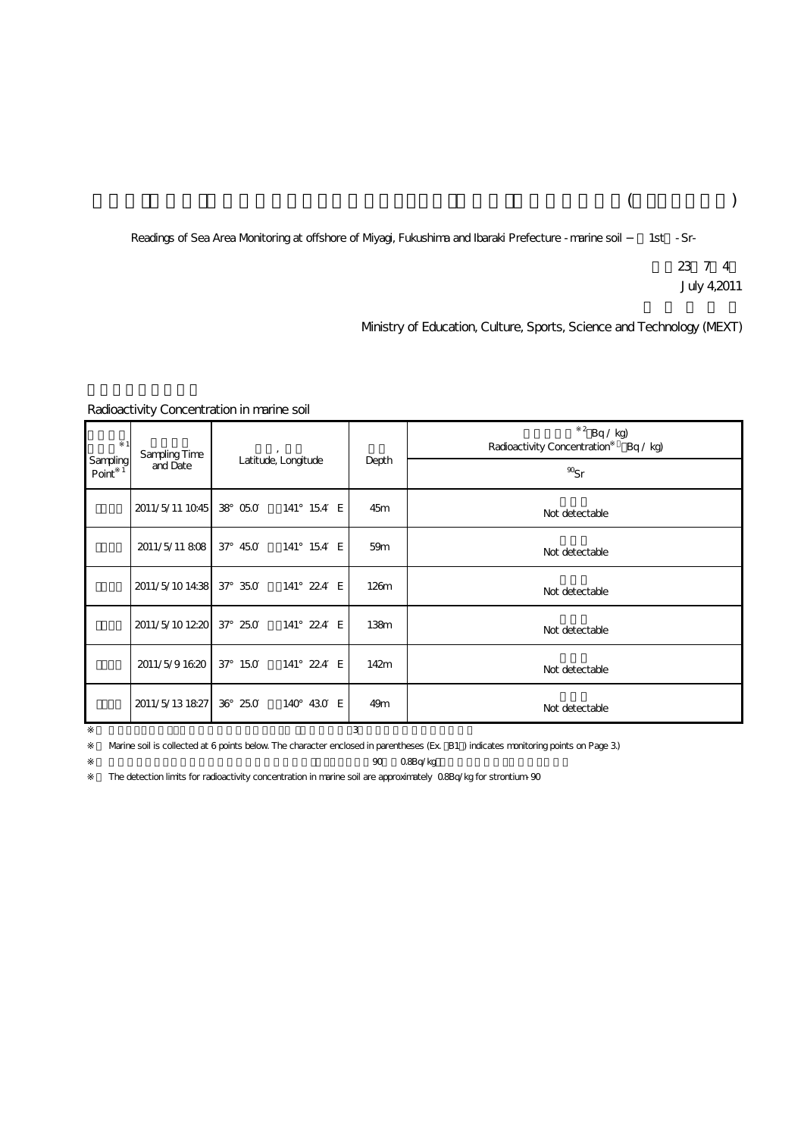## $($

Readings of Sea Area Monitoring at offshore of Myagi, Fukushima and Ibaraki Prefecture -marine soil 1st -Sr-

平成23年7月4日 July 4,2011

Ministry of Education, Culture, Sports, Science and Technology (MEXT)

## Radioactivity Concentration in marine soil

| Sampling<br>Point | Sampling Time<br>and Date | Latitude, Longitude |            | Depth            | $2$ Bq / kg)<br>Radioactivity Concentration<br>Bq / kq |
|-------------------|---------------------------|---------------------|------------|------------------|--------------------------------------------------------|
|                   |                           |                     |            |                  | $\mathcal{D}_{\text{S}r}$                              |
|                   | 2011/5/11 1045            | 38 05.0             | 141° 154 E | 45m              | Not detectable                                         |
|                   | 2011/5/11 808             | 37° 450             | 141° 154 E | 59m              | Not detectable                                         |
|                   | 2011/5/1014:38            | 37° 35.0            | 141° 224 E | 126m             | Not detectable                                         |
|                   | 2011/5/101220 37 250      |                     | 141° 224 E | 138 <sub>m</sub> | Not detectable                                         |
|                   | 2011/5/91620              | 37° 150             | 141° 224 E | 142m             | Not detectable                                         |
|                   | 2011/5/13 1827            | 36° 25.0            | 140° 430 E | 49 <sub>m</sub>  | Not detectable                                         |
| 3                 |                           |                     |            |                  |                                                        |

%2 0.8Bq/kg Warine soil is collected at 6 points below. The character enclosed in parentheses (Ex. B1) indicates monitoring points on Page 3)

The detection limits for radioactivity concentration in marine soil are approximately 0.8Bq/kg for strontium-90